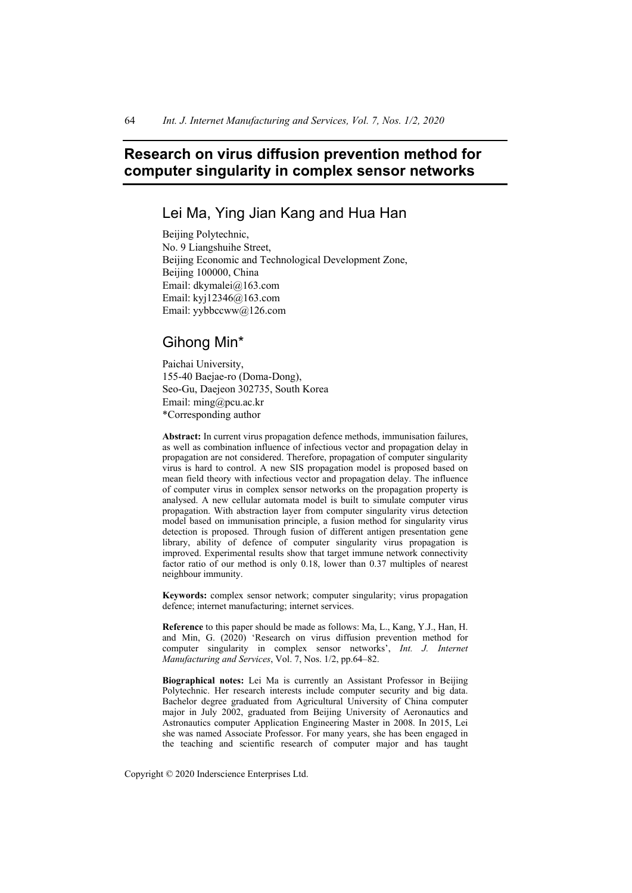# **Research on virus diffusion prevention method for computer singularity in complex sensor networks**

# Lei Ma, Ying Jian Kang and Hua Han

Beijing Polytechnic, No. 9 Liangshuihe Street, Beijing Economic and Technological Development Zone, Beijing 100000, China Email: dkymalei@163.com Email: kyj12346@163.com Email: yybbccww@126.com

# Gihong Min\*

Paichai University, 155-40 Baejae-ro (Doma-Dong), Seo-Gu, Daejeon 302735, South Korea Email: ming@pcu.ac.kr \*Corresponding author

**Abstract:** In current virus propagation defence methods, immunisation failures, as well as combination influence of infectious vector and propagation delay in propagation are not considered. Therefore, propagation of computer singularity virus is hard to control. A new SIS propagation model is proposed based on mean field theory with infectious vector and propagation delay. The influence of computer virus in complex sensor networks on the propagation property is analysed. A new cellular automata model is built to simulate computer virus propagation. With abstraction layer from computer singularity virus detection model based on immunisation principle, a fusion method for singularity virus detection is proposed. Through fusion of different antigen presentation gene library, ability of defence of computer singularity virus propagation is improved. Experimental results show that target immune network connectivity factor ratio of our method is only 0.18, lower than 0.37 multiples of nearest neighbour immunity.

**Keywords:** complex sensor network; computer singularity; virus propagation defence; internet manufacturing; internet services.

**Reference** to this paper should be made as follows: Ma, L., Kang, Y.J., Han, H. and Min, G. (2020) 'Research on virus diffusion prevention method for computer singularity in complex sensor networks', *Int. J. Internet Manufacturing and Services*, Vol. 7, Nos. 1/2, pp.64–82.

**Biographical notes:** Lei Ma is currently an Assistant Professor in Beijing Polytechnic. Her research interests include computer security and big data. Bachelor degree graduated from Agricultural University of China computer major in July 2002, graduated from Beijing University of Aeronautics and Astronautics computer Application Engineering Master in 2008. In 2015, Lei she was named Associate Professor. For many years, she has been engaged in the teaching and scientific research of computer major and has taught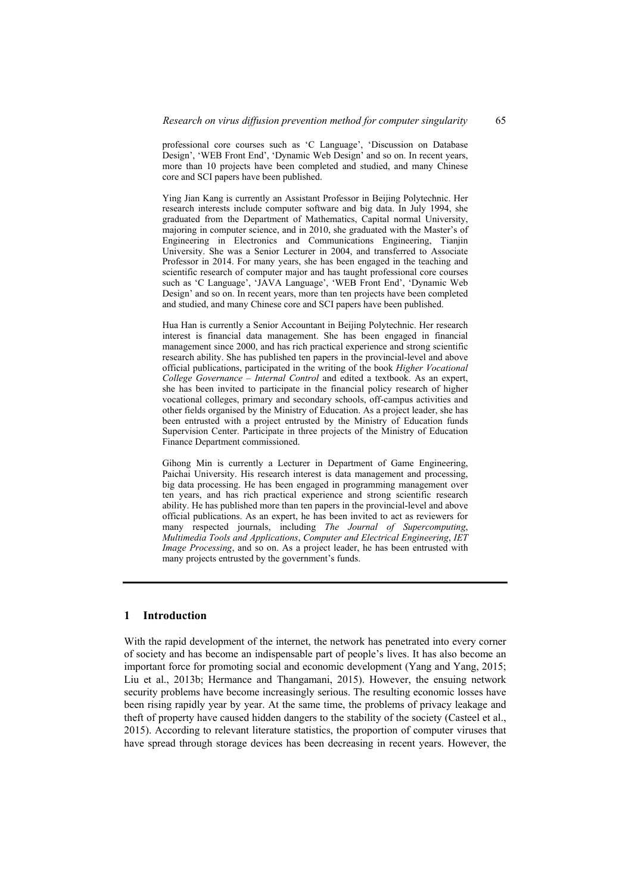professional core courses such as 'C Language', 'Discussion on Database Design', 'WEB Front End', 'Dynamic Web Design' and so on. In recent years, more than 10 projects have been completed and studied, and many Chinese core and SCI papers have been published.

Ying Jian Kang is currently an Assistant Professor in Beijing Polytechnic. Her research interests include computer software and big data. In July 1994, she graduated from the Department of Mathematics, Capital normal University, majoring in computer science, and in 2010, she graduated with the Master's of Engineering in Electronics and Communications Engineering, Tianjin University. She was a Senior Lecturer in 2004, and transferred to Associate Professor in 2014. For many years, she has been engaged in the teaching and scientific research of computer major and has taught professional core courses such as 'C Language', 'JAVA Language', 'WEB Front End', 'Dynamic Web Design' and so on. In recent years, more than ten projects have been completed and studied, and many Chinese core and SCI papers have been published.

Hua Han is currently a Senior Accountant in Beijing Polytechnic. Her research interest is financial data management. She has been engaged in financial management since 2000, and has rich practical experience and strong scientific research ability. She has published ten papers in the provincial-level and above official publications, participated in the writing of the book *Higher Vocational College Governance – Internal Control* and edited a textbook. As an expert, she has been invited to participate in the financial policy research of higher vocational colleges, primary and secondary schools, off-campus activities and other fields organised by the Ministry of Education. As a project leader, she has been entrusted with a project entrusted by the Ministry of Education funds Supervision Center. Participate in three projects of the Ministry of Education Finance Department commissioned.

Gihong Min is currently a Lecturer in Department of Game Engineering, Paichai University. His research interest is data management and processing, big data processing. He has been engaged in programming management over ten years, and has rich practical experience and strong scientific research ability. He has published more than ten papers in the provincial-level and above official publications. As an expert, he has been invited to act as reviewers for many respected journals, including *The Journal of Supercomputing*, *Multimedia Tools and Applications*, *Computer and Electrical Engineering*, *IET Image Processing*, and so on. As a project leader, he has been entrusted with many projects entrusted by the government's funds.

#### **1 Introduction**

With the rapid development of the internet, the network has penetrated into every corner of society and has become an indispensable part of people's lives. It has also become an important force for promoting social and economic development (Yang and Yang, 2015; Liu et al., 2013b; Hermance and Thangamani, 2015). However, the ensuing network security problems have become increasingly serious. The resulting economic losses have been rising rapidly year by year. At the same time, the problems of privacy leakage and theft of property have caused hidden dangers to the stability of the society (Casteel et al., 2015). According to relevant literature statistics, the proportion of computer viruses that have spread through storage devices has been decreasing in recent years. However, the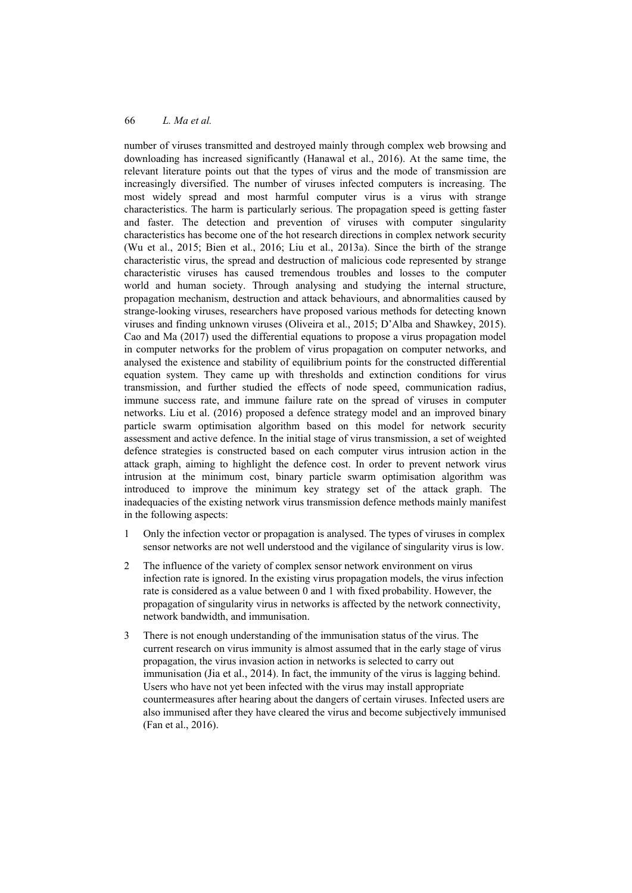number of viruses transmitted and destroyed mainly through complex web browsing and downloading has increased significantly (Hanawal et al., 2016). At the same time, the relevant literature points out that the types of virus and the mode of transmission are increasingly diversified. The number of viruses infected computers is increasing. The most widely spread and most harmful computer virus is a virus with strange characteristics. The harm is particularly serious. The propagation speed is getting faster and faster. The detection and prevention of viruses with computer singularity characteristics has become one of the hot research directions in complex network security (Wu et al., 2015; Bien et al., 2016; Liu et al., 2013a). Since the birth of the strange characteristic virus, the spread and destruction of malicious code represented by strange characteristic viruses has caused tremendous troubles and losses to the computer world and human society. Through analysing and studying the internal structure, propagation mechanism, destruction and attack behaviours, and abnormalities caused by strange-looking viruses, researchers have proposed various methods for detecting known viruses and finding unknown viruses (Oliveira et al., 2015; D'Alba and Shawkey, 2015). Cao and Ma (2017) used the differential equations to propose a virus propagation model in computer networks for the problem of virus propagation on computer networks, and analysed the existence and stability of equilibrium points for the constructed differential equation system. They came up with thresholds and extinction conditions for virus transmission, and further studied the effects of node speed, communication radius, immune success rate, and immune failure rate on the spread of viruses in computer networks. Liu et al. (2016) proposed a defence strategy model and an improved binary particle swarm optimisation algorithm based on this model for network security assessment and active defence. In the initial stage of virus transmission, a set of weighted defence strategies is constructed based on each computer virus intrusion action in the attack graph, aiming to highlight the defence cost. In order to prevent network virus intrusion at the minimum cost, binary particle swarm optimisation algorithm was introduced to improve the minimum key strategy set of the attack graph. The inadequacies of the existing network virus transmission defence methods mainly manifest in the following aspects:

- 1 Only the infection vector or propagation is analysed. The types of viruses in complex sensor networks are not well understood and the vigilance of singularity virus is low.
- 2 The influence of the variety of complex sensor network environment on virus infection rate is ignored. In the existing virus propagation models, the virus infection rate is considered as a value between 0 and 1 with fixed probability. However, the propagation of singularity virus in networks is affected by the network connectivity, network bandwidth, and immunisation.
- 3 There is not enough understanding of the immunisation status of the virus. The current research on virus immunity is almost assumed that in the early stage of virus propagation, the virus invasion action in networks is selected to carry out immunisation (Jia et al., 2014). In fact, the immunity of the virus is lagging behind. Users who have not yet been infected with the virus may install appropriate countermeasures after hearing about the dangers of certain viruses. Infected users are also immunised after they have cleared the virus and become subjectively immunised (Fan et al., 2016).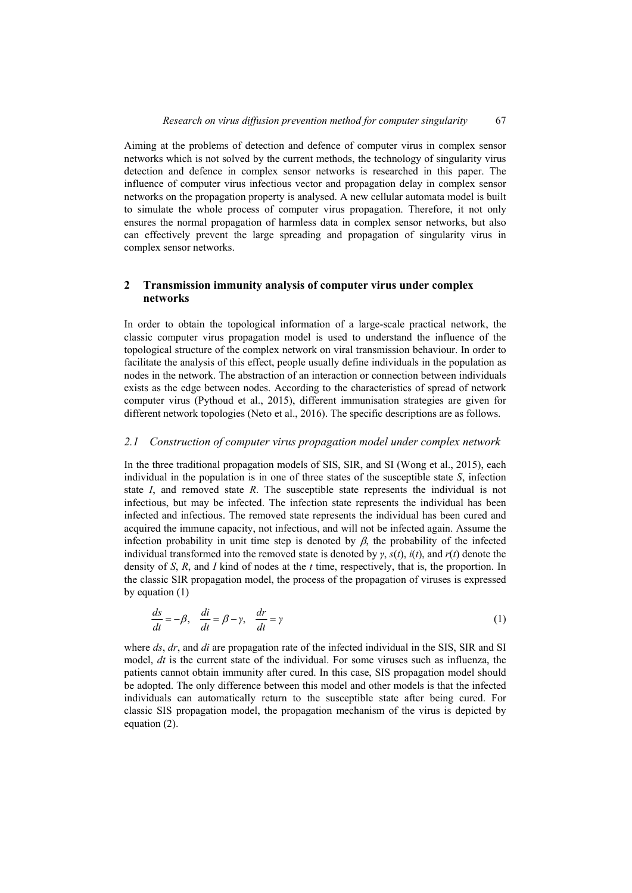Aiming at the problems of detection and defence of computer virus in complex sensor networks which is not solved by the current methods, the technology of singularity virus detection and defence in complex sensor networks is researched in this paper. The influence of computer virus infectious vector and propagation delay in complex sensor networks on the propagation property is analysed. A new cellular automata model is built to simulate the whole process of computer virus propagation. Therefore, it not only ensures the normal propagation of harmless data in complex sensor networks, but also can effectively prevent the large spreading and propagation of singularity virus in complex sensor networks.

## **2 Transmission immunity analysis of computer virus under complex networks**

In order to obtain the topological information of a large-scale practical network, the classic computer virus propagation model is used to understand the influence of the topological structure of the complex network on viral transmission behaviour. In order to facilitate the analysis of this effect, people usually define individuals in the population as nodes in the network. The abstraction of an interaction or connection between individuals exists as the edge between nodes. According to the characteristics of spread of network computer virus (Pythoud et al., 2015), different immunisation strategies are given for different network topologies (Neto et al., 2016). The specific descriptions are as follows.

### *2.1 Construction of computer virus propagation model under complex network*

In the three traditional propagation models of SIS, SIR, and SI (Wong et al., 2015), each individual in the population is in one of three states of the susceptible state *S*, infection state *I*, and removed state *R*. The susceptible state represents the individual is not infectious, but may be infected. The infection state represents the individual has been infected and infectious. The removed state represents the individual has been cured and acquired the immune capacity, not infectious, and will not be infected again. Assume the infection probability in unit time step is denoted by  $\beta$ , the probability of the infected individual transformed into the removed state is denoted by *γ*, *s*(*t*), *i*(*t*), and *r*(*t*) denote the density of *S*, *R*, and *I* kind of nodes at the *t* time, respectively, that is, the proportion. In the classic SIR propagation model, the process of the propagation of viruses is expressed by equation (1)

$$
\frac{ds}{dt} = -\beta, \quad \frac{di}{dt} = \beta - \gamma, \quad \frac{dr}{dt} = \gamma
$$
\n(1)

where *ds*, *dr*, and *di* are propagation rate of the infected individual in the SIS, SIR and SI model, *dt* is the current state of the individual. For some viruses such as influenza, the patients cannot obtain immunity after cured. In this case, SIS propagation model should be adopted. The only difference between this model and other models is that the infected individuals can automatically return to the susceptible state after being cured. For classic SIS propagation model, the propagation mechanism of the virus is depicted by equation (2).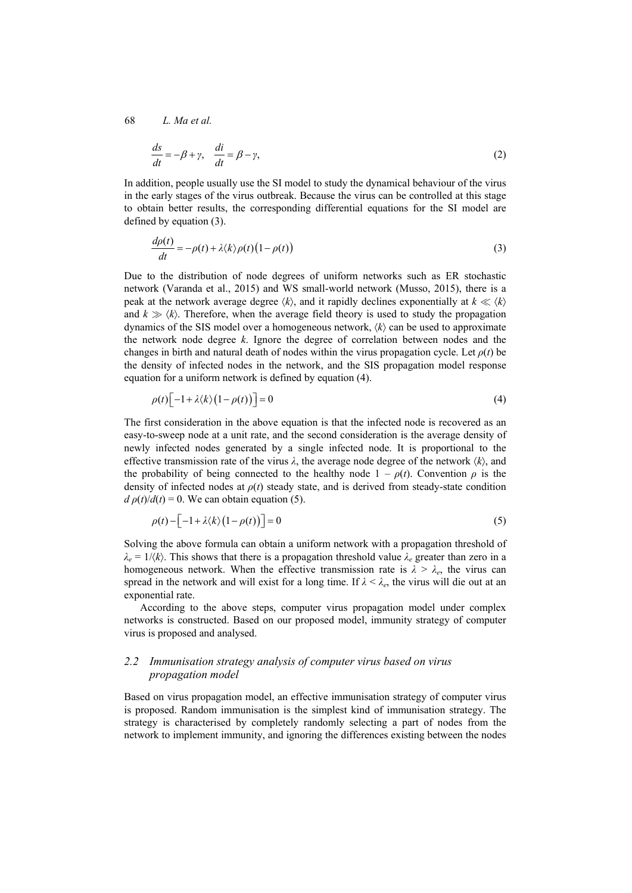$$
\frac{ds}{dt} = -\beta + \gamma, \quad \frac{di}{dt} = \beta - \gamma,
$$
\n(2)

In addition, people usually use the SI model to study the dynamical behaviour of the virus in the early stages of the virus outbreak. Because the virus can be controlled at this stage to obtain better results, the corresponding differential equations for the SI model are defined by equation (3).

$$
\frac{d\rho(t)}{dt} = -\rho(t) + \lambda \langle k \rangle \rho(t) \left(1 - \rho(t)\right) \tag{3}
$$

Due to the distribution of node degrees of uniform networks such as ER stochastic network (Varanda et al., 2015) and WS small-world network (Musso, 2015), there is a peak at the network average degree  $\langle k \rangle$ , and it rapidly declines exponentially at  $k \ll \langle k \rangle$ and  $k \gg \langle k \rangle$ . Therefore, when the average field theory is used to study the propagation dynamics of the SIS model over a homogeneous network,  $\langle k \rangle$  can be used to approximate the network node degree *k*. Ignore the degree of correlation between nodes and the changes in birth and natural death of nodes within the virus propagation cycle. Let *ρ*(*t*) be the density of infected nodes in the network, and the SIS propagation model response equation for a uniform network is defined by equation (4).

$$
\rho(t)\left[-1+\lambda\langle k\rangle\left(1-\rho(t)\right)\right]=0\tag{4}
$$

The first consideration in the above equation is that the infected node is recovered as an easy-to-sweep node at a unit rate, and the second consideration is the average density of newly infected nodes generated by a single infected node. It is proportional to the effective transmission rate of the virus  $\lambda$ , the average node degree of the network  $\langle k \rangle$ , and the probability of being connected to the healthy node  $1 - \rho(t)$ . Convention  $\rho$  is the density of infected nodes at  $\rho(t)$  steady state, and is derived from steady-state condition  $d \rho(t)/d(t) = 0$ . We can obtain equation (5).

$$
\rho(t) - \left[ -1 + \lambda \langle k \rangle \left( 1 - \rho(t) \right) \right] = 0 \tag{5}
$$

Solving the above formula can obtain a uniform network with a propagation threshold of  $\lambda_e = 1/\langle k \rangle$ . This shows that there is a propagation threshold value  $\lambda_e$  greater than zero in a homogeneous network. When the effective transmission rate is  $\lambda > \lambda_e$ , the virus can spread in the network and will exist for a long time. If  $\lambda < \lambda_e$ , the virus will die out at an exponential rate.

According to the above steps, computer virus propagation model under complex networks is constructed. Based on our proposed model, immunity strategy of computer virus is proposed and analysed.

## *2.2 Immunisation strategy analysis of computer virus based on virus propagation model*

Based on virus propagation model, an effective immunisation strategy of computer virus is proposed. Random immunisation is the simplest kind of immunisation strategy. The strategy is characterised by completely randomly selecting a part of nodes from the network to implement immunity, and ignoring the differences existing between the nodes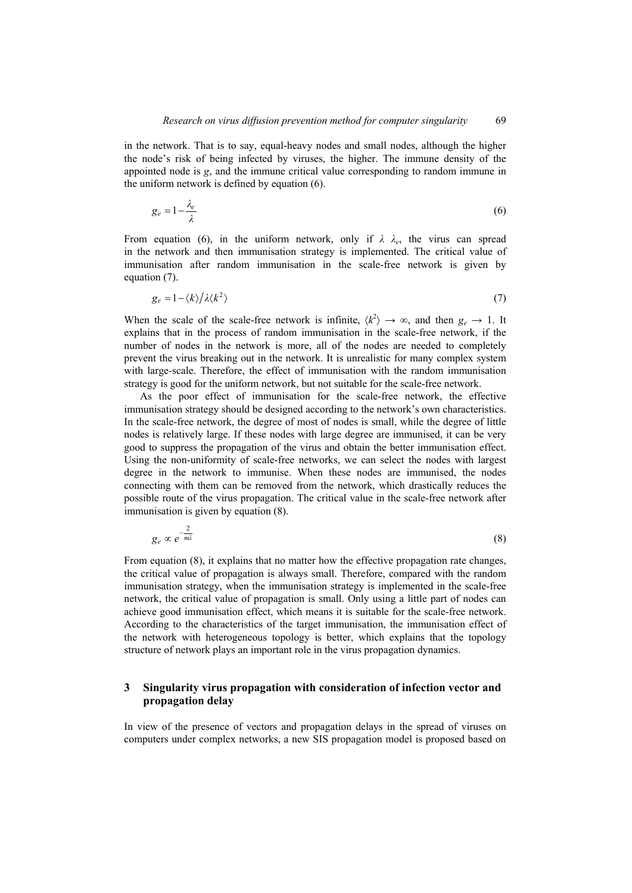in the network. That is to say, equal-heavy nodes and small nodes, although the higher the node's risk of being infected by viruses, the higher. The immune density of the appointed node is *g*, and the immune critical value corresponding to random immune in the uniform network is defined by equation (6).

$$
g_e = 1 - \frac{\lambda_e}{\lambda} \tag{6}
$$

From equation (6), in the uniform network, only if  $\lambda \lambda_e$ , the virus can spread in the network and then immunisation strategy is implemented. The critical value of immunisation after random immunisation in the scale-free network is given by equation (7).

$$
g_e = 1 - \langle k \rangle / \lambda \langle k^2 \rangle \tag{7}
$$

When the scale of the scale-free network is infinite,  $\langle k^2 \rangle \to \infty$ , and then  $g_e \to 1$ . It explains that in the process of random immunisation in the scale-free network, if the number of nodes in the network is more, all of the nodes are needed to completely prevent the virus breaking out in the network. It is unrealistic for many complex system with large-scale. Therefore, the effect of immunisation with the random immunisation strategy is good for the uniform network, but not suitable for the scale-free network.

As the poor effect of immunisation for the scale-free network, the effective immunisation strategy should be designed according to the network's own characteristics. In the scale-free network, the degree of most of nodes is small, while the degree of little nodes is relatively large. If these nodes with large degree are immunised, it can be very good to suppress the propagation of the virus and obtain the better immunisation effect. Using the non-uniformity of scale-free networks, we can select the nodes with largest degree in the network to immunise. When these nodes are immunised, the nodes connecting with them can be removed from the network, which drastically reduces the possible route of the virus propagation. The critical value in the scale-free network after immunisation is given by equation (8).

$$
g_e \propto e^{-\frac{2}{m\lambda}} \tag{8}
$$

From equation (8), it explains that no matter how the effective propagation rate changes, the critical value of propagation is always small. Therefore, compared with the random immunisation strategy, when the immunisation strategy is implemented in the scale-free network, the critical value of propagation is small. Only using a little part of nodes can achieve good immunisation effect, which means it is suitable for the scale-free network. According to the characteristics of the target immunisation, the immunisation effect of the network with heterogeneous topology is better, which explains that the topology structure of network plays an important role in the virus propagation dynamics.

## **3 Singularity virus propagation with consideration of infection vector and propagation delay**

In view of the presence of vectors and propagation delays in the spread of viruses on computers under complex networks, a new SIS propagation model is proposed based on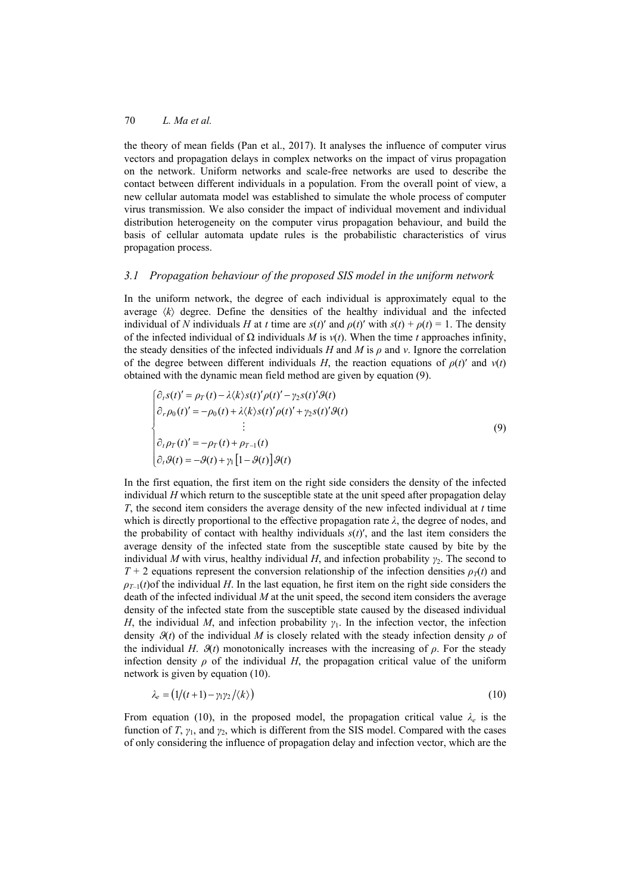the theory of mean fields (Pan et al., 2017). It analyses the influence of computer virus vectors and propagation delays in complex networks on the impact of virus propagation on the network. Uniform networks and scale-free networks are used to describe the contact between different individuals in a population. From the overall point of view, a new cellular automata model was established to simulate the whole process of computer virus transmission. We also consider the impact of individual movement and individual distribution heterogeneity on the computer virus propagation behaviour, and build the basis of cellular automata update rules is the probabilistic characteristics of virus propagation process.

#### *3.1 Propagation behaviour of the proposed SIS model in the uniform network*

In the uniform network, the degree of each individual is approximately equal to the average  $\langle k \rangle$  degree. Define the densities of the healthy individual and the infected individual of *N* individuals *H* at *t* time are *s*(*t*)' and  $\rho(t)$ ' with  $s(t) + \rho(t) = 1$ . The density of the infected individual of  $\Omega$  individuals *M* is  $v(t)$ . When the time *t* approaches infinity, the steady densities of the infected individuals *H* and *M* is  $\rho$  and *v*. Ignore the correlation of the degree between different individuals *H*, the reaction equations of  $\rho(t)$ <sup>'</sup> and  $v(t)$ obtained with the dynamic mean field method are given by equation (9).

$$
\begin{cases}\n\partial_t s(t)' = \rho_T(t) - \lambda \langle k \rangle s(t)' \rho(t)' - \gamma_2 s(t)' \mathcal{G}(t) \\
\partial_r \rho_0(t)' = -\rho_0(t) + \lambda \langle k \rangle s(t)' \rho(t)' + \gamma_2 s(t)' \mathcal{G}(t) \\
\vdots \\
\partial_t \rho_T(t)' = -\rho_T(t) + \rho_{T-1}(t) \\
\partial_t \mathcal{G}(t) = -\mathcal{G}(t) + \gamma_1 [1 - \mathcal{G}(t)] \mathcal{G}(t)\n\end{cases} \tag{9}
$$

In the first equation, the first item on the right side considers the density of the infected individual *H* which return to the susceptible state at the unit speed after propagation delay *T*, the second item considers the average density of the new infected individual at *t* time which is directly proportional to the effective propagation rate  $\lambda$ , the degree of nodes, and the probability of contact with healthy individuals  $s(t)$ <sup>'</sup>, and the last item considers the average density of the infected state from the susceptible state caused by bite by the individual *M* with virus, healthy individual *H*, and infection probability  $\gamma_2$ . The second to *T* + 2 equations represent the conversion relationship of the infection densities  $\rho_T(t)$  and  $\rho_{T-1}(t)$ of the individual *H*. In the last equation, he first item on the right side considers the death of the infected individual *M* at the unit speed, the second item considers the average density of the infected state from the susceptible state caused by the diseased individual *H*, the individual *M*, and infection probability  $\gamma_1$ . In the infection vector, the infection density  $\mathcal{I}(t)$  of the individual *M* is closely related with the steady infection density  $\rho$  of the individual *H*.  $\mathcal{A}(t)$  monotonically increases with the increasing of  $\rho$ . For the steady infection density  $\rho$  of the individual *H*, the propagation critical value of the uniform network is given by equation (10).

$$
\lambda_e = (1/(t+1) - \gamma_1 \gamma_2 / \langle k \rangle) \tag{10}
$$

From equation (10), in the proposed model, the propagation critical value  $\lambda_e$  is the function of *T*, *γ*1, and *γ*2, which is different from the SIS model. Compared with the cases of only considering the influence of propagation delay and infection vector, which are the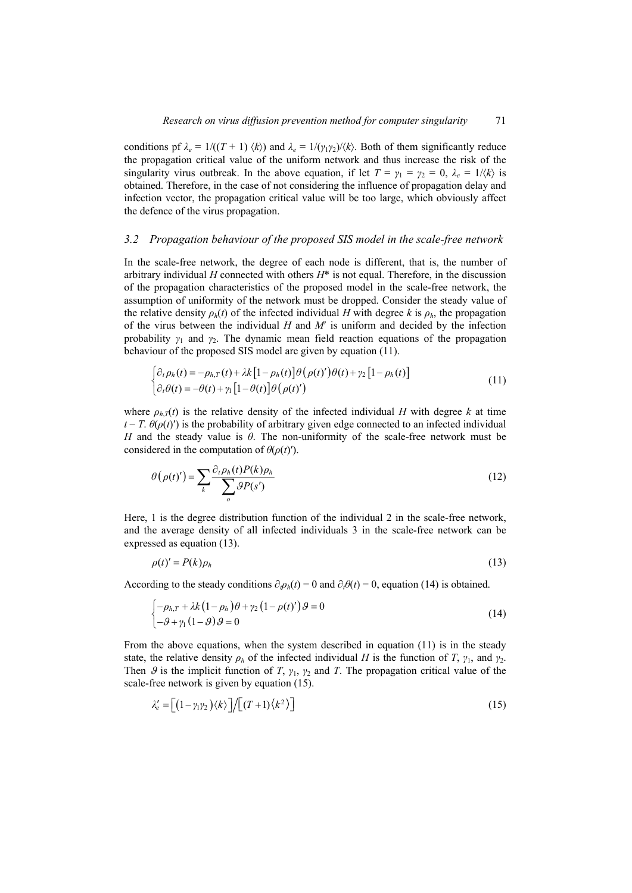conditions pf  $\lambda_e = 1/((T + 1) \langle k \rangle)$  and  $\lambda_e = 1/(\gamma_1 \gamma_2)/\langle k \rangle$ . Both of them significantly reduce the propagation critical value of the uniform network and thus increase the risk of the singularity virus outbreak. In the above equation, if let  $T = \gamma_1 = \gamma_2 = 0$ ,  $\lambda_e = 1/\langle k \rangle$  is obtained. Therefore, in the case of not considering the influence of propagation delay and infection vector, the propagation critical value will be too large, which obviously affect the defence of the virus propagation.

#### *3.2 Propagation behaviour of the proposed SIS model in the scale-free network*

In the scale-free network, the degree of each node is different, that is, the number of arbitrary individual *H* connected with others *H*\* is not equal. Therefore, in the discussion of the propagation characteristics of the proposed model in the scale-free network, the assumption of uniformity of the network must be dropped. Consider the steady value of the relative density  $\rho_h(t)$  of the infected individual *H* with degree *k* is  $\rho_h$ , the propagation of the virus between the individual *H* and *M*′ is uniform and decided by the infection probability  $\gamma_1$  and  $\gamma_2$ . The dynamic mean field reaction equations of the propagation behaviour of the proposed SIS model are given by equation (11).

$$
\begin{cases} \partial_t \rho_h(t) = -\rho_{h,T}(t) + \lambda k \left[ 1 - \rho_h(t) \right] \theta \left( \rho(t)' \right) \theta(t) + \gamma_2 \left[ 1 - \rho_h(t) \right] \\ \partial_t \theta(t) = -\theta(t) + \gamma_1 \left[ 1 - \theta(t) \right] \theta \left( \rho(t)' \right) \end{cases} \tag{11}
$$

where  $\rho_{h,\mathcal{T}}(t)$  is the relative density of the infected individual *H* with degree *k* at time  $t - T$ .  $\theta(\rho(t))$  is the probability of arbitrary given edge connected to an infected individual *H* and the steady value is *θ*. The non-uniformity of the scale-free network must be considered in the computation of  $\theta(\rho(t))$ .

$$
\theta(\rho(t)') = \sum_{k} \frac{\partial_t \rho_h(t) P(k) \rho_h}{\sum_{o} \mathcal{P}(s')}
$$
 (12)

Here, 1 is the degree distribution function of the individual 2 in the scale-free network, and the average density of all infected individuals 3 in the scale-free network can be expressed as equation (13).

$$
\rho(t)' = P(k)\rho_h \tag{13}
$$

According to the steady conditions  $\partial_t \rho_h(t) = 0$  and  $\partial_t \theta(t) = 0$ , equation (14) is obtained.

$$
\begin{cases}\n-\rho_{h,T} + \lambda k \left(1 - \rho_h\right) \theta + \gamma_2 \left(1 - \rho(t)'\right) \theta = 0 \\
-\theta + \gamma_1 \left(1 - \theta\right) \theta = 0\n\end{cases}
$$
\n(14)

From the above equations, when the system described in equation (11) is in the steady state, the relative density  $\rho_h$  of the infected individual *H* is the function of *T*,  $\gamma_1$ , and  $\gamma_2$ . Then  $\mathcal{G}$  is the implicit function of *T*,  $\gamma_1$ ,  $\gamma_2$  and *T*. The propagation critical value of the scale-free network is given by equation (15).

$$
\lambda'_e = \left[ \left( 1 - \gamma_1 \gamma_2 \right) \langle k \rangle \right] / \left[ \left( T + 1 \right) \langle k^2 \rangle \right] \tag{15}
$$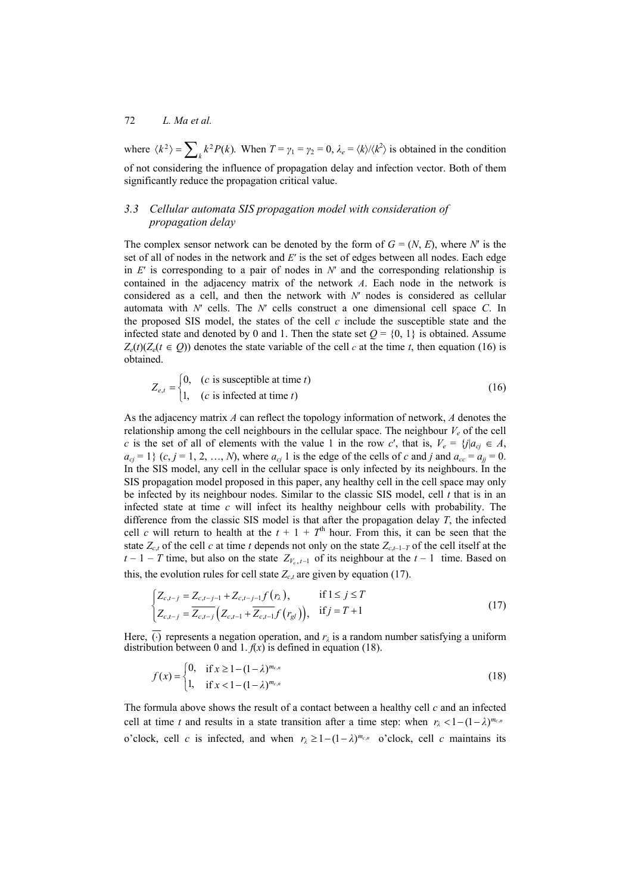where  $\langle k^2 \rangle = \sum_k k^2 P(k)$ . When  $T = \gamma_1 = \gamma_2 = 0$ ,  $\lambda_e = \langle k \rangle / \langle k^2 \rangle$  is obtained in the condition of not considering the influence of propagation delay and infection vector. Both of them significantly reduce the propagation critical value.

## *3.3 Cellular automata SIS propagation model with consideration of propagation delay*

The complex sensor network can be denoted by the form of  $G = (N, E)$ , where N' is the set of all of nodes in the network and *E*′ is the set of edges between all nodes. Each edge in  $E'$  is corresponding to a pair of nodes in  $N'$  and the corresponding relationship is contained in the adjacency matrix of the network *A*. Each node in the network is considered as a cell, and then the network with *N*′ nodes is considered as cellular automata with *N*′ cells. The *N*′ cells construct a one dimensional cell space *C*. In the proposed SIS model, the states of the cell *c* include the susceptible state and the infected state and denoted by 0 and 1. Then the state set  $Q = \{0, 1\}$  is obtained. Assume  $Z_e(t)(Z_e(t \in O))$  denotes the state variable of the cell *c* at the time *t*, then equation (16) is obtained.

$$
Z_{e,t} = \begin{cases} 0, & (c \text{ is susceptible at time } t) \\ 1, & (c \text{ is infected at time } t) \end{cases} \tag{16}
$$

As the adjacency matrix *A* can reflect the topology information of network, *A* denotes the relationship among the cell neighbours in the cellular space. The neighbour  $V_e$  of the cell *c* is the set of all of elements with the value 1 in the row *c'*, that is,  $V_e = \{j | a_{ci} \in A$ ,  $a_{ci} = 1$ } (*c*, *j* = 1, 2, …, *N*), where  $a_{ci}$  1 is the edge of the cells of *c* and *j* and  $a_{cc} = a_{jj} = 0$ . In the SIS model, any cell in the cellular space is only infected by its neighbours. In the SIS propagation model proposed in this paper, any healthy cell in the cell space may only be infected by its neighbour nodes. Similar to the classic SIS model, cell *t* that is in an infected state at time *c* will infect its healthy neighbour cells with probability. The difference from the classic SIS model is that after the propagation delay *T*, the infected cell *c* will return to health at the  $t + 1 + T<sup>th</sup>$  hour. From this, it can be seen that the state  $Z_{c,t}$  of the cell *c* at time *t* depends not only on the state  $Z_{c,t-1-T}$  of the cell itself at the  $t-1-T$  time, but also on the state  $Z_{V_c,t-1}$  of its neighbour at the  $t-1$  time. Based on this, the evolution rules for cell state  $Z_{c,t}$  are given by equation (17).

$$
\begin{cases}\nZ_{c,t-j} = Z_{c,t-j-1} + Z_{c,t-j-1}f(r_{\lambda}), & \text{if } 1 \le j \le T \\
Z_{c,t-j} = \overline{Z_{c,t-j}}\left(Z_{c,t-1} + \overline{Z_{c,t-1}}f(r_{gl})\right), & \text{if } j = T+1\n\end{cases}
$$
\n(17)

Here,  $\overline{(\cdot)}$  represents a negation operation, and  $r_\lambda$  is a random number satisfying a uniform distribution between 0 and 1.  $f(x)$  is defined in equation (18).

$$
f(x) = \begin{cases} 0, & \text{if } x \ge 1 - (1 - \lambda)^{m_{c,n}} \\ 1, & \text{if } x < 1 - (1 - \lambda)^{m_{c,n}} \end{cases} \tag{18}
$$

The formula above shows the result of a contact between a healthy cell *c* and an infected cell at time *t* and results in a state transition after a time step: when  $r_{\lambda} < 1 - (1 - \lambda)^{m_{c,n}}$ o'clock, cell *c* is infected, and when  $r_{\lambda} \ge 1 - (1 - \lambda)^{m_{c,n}}$  o'clock, cell *c* maintains its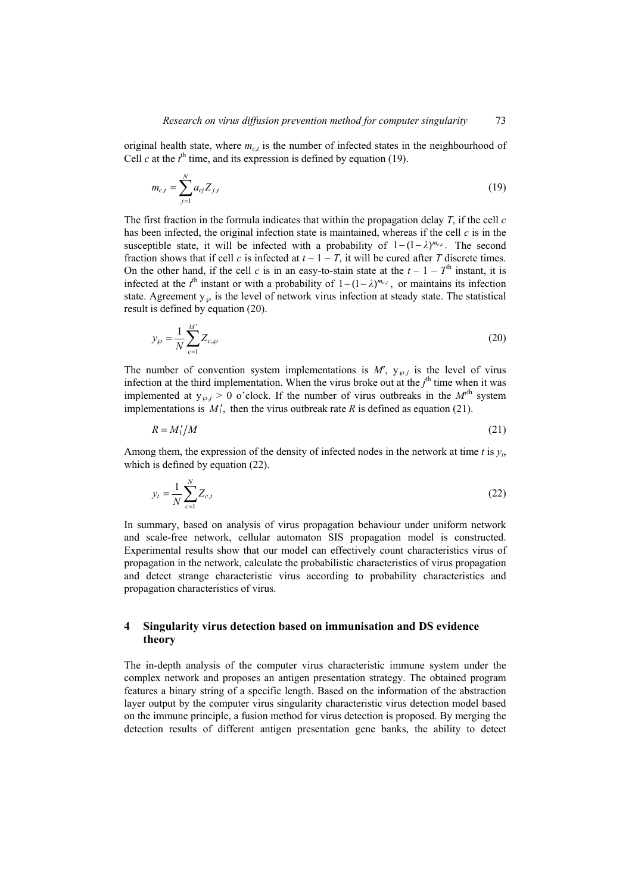original health state, where  $m_{c,t}$  is the number of infected states in the neighbourhood of Cell  $c$  at the  $t^{\text{th}}$  time, and its expression is defined by equation (19).

$$
m_{c,t} = \sum_{j=1}^{N} a_{cj} Z_{j,t}
$$
 (19)

The first fraction in the formula indicates that within the propagation delay *T*, if the cell *c*  has been infected, the original infection state is maintained, whereas if the cell *c* is in the susceptible state, it will be infected with a probability of  $1 - (1 - \lambda)^{m_{c,t}}$ . The second fraction shows that if cell *c* is infected at  $t - 1 - T$ , it will be cured after *T* discrete times. On the other hand, if the cell *c* is in an easy-to-stain state at the  $t - 1 - T<sup>th</sup>$  instant, it is infected at the  $t^{\text{th}}$  instant or with a probability of  $1 - (1 - \lambda)^{m_{c,t}}$ , or maintains its infection state. Agreement  $y_{\varphi}$  is the level of network virus infection at steady state. The statistical result is defined by equation (20).

$$
y_{\wp} = \frac{1}{N} \sum_{c=1}^{M'} Z_{c,\wp} \tag{20}
$$

The number of convention system implementations is  $M'$ ,  $y_{\varphi,i}$  is the level of virus infection at the third implementation. When the virus broke out at the  $j<sup>th</sup>$  time when it was implemented at  $y_{\rho} > 0$  o'clock. If the number of virus outbreaks in the  $M<sup>th</sup>$  system implementations is  $M'_1$ , then the virus outbreak rate  $R$  is defined as equation (21).

 $R = M_1'/M$  (21)

Among them, the expression of the density of infected nodes in the network at time  $t$  is  $y_t$ , which is defined by equation (22).

$$
y_t = \frac{1}{N} \sum_{c=1}^{N} Z_{c,t}
$$
 (22)

In summary, based on analysis of virus propagation behaviour under uniform network and scale-free network, cellular automaton SIS propagation model is constructed. Experimental results show that our model can effectively count characteristics virus of propagation in the network, calculate the probabilistic characteristics of virus propagation and detect strange characteristic virus according to probability characteristics and propagation characteristics of virus.

### **4 Singularity virus detection based on immunisation and DS evidence theory**

The in-depth analysis of the computer virus characteristic immune system under the complex network and proposes an antigen presentation strategy. The obtained program features a binary string of a specific length. Based on the information of the abstraction layer output by the computer virus singularity characteristic virus detection model based on the immune principle, a fusion method for virus detection is proposed. By merging the detection results of different antigen presentation gene banks, the ability to detect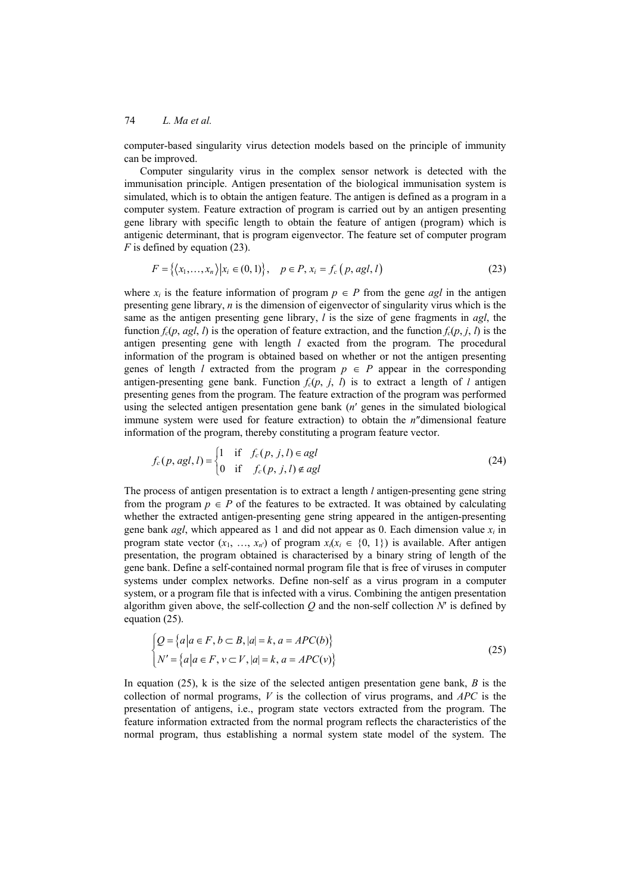computer-based singularity virus detection models based on the principle of immunity can be improved.

Computer singularity virus in the complex sensor network is detected with the immunisation principle. Antigen presentation of the biological immunisation system is simulated, which is to obtain the antigen feature. The antigen is defined as a program in a computer system. Feature extraction of program is carried out by an antigen presenting gene library with specific length to obtain the feature of antigen (program) which is antigenic determinant, that is program eigenvector. The feature set of computer program *F* is defined by equation (23).

$$
F = \{ \langle x_1, \dots, x_n \rangle | x_i \in (0, 1) \}, \quad p \in P, x_i = f_c(p, agl, l)
$$
 (23)

where  $x_i$  is the feature information of program  $p \in P$  from the gene *agl* in the antigen presenting gene library, *n* is the dimension of eigenvector of singularity virus which is the same as the antigen presenting gene library, *l* is the size of gene fragments in *agl*, the function  $f_c(p, agl, l)$  is the operation of feature extraction, and the function  $f_c(p, i, l)$  is the antigen presenting gene with length *l* exacted from the program. The procedural information of the program is obtained based on whether or not the antigen presenting genes of length *l* extracted from the program  $p \in P$  appear in the corresponding antigen-presenting gene bank. Function  $f_c(p, j, l)$  is to extract a length of *l* antigen presenting genes from the program. The feature extraction of the program was performed using the selected antigen presentation gene bank (*n*′ genes in the simulated biological immune system were used for feature extraction) to obtain the *n*″dimensional feature information of the program, thereby constituting a program feature vector.

$$
f_c(p, agl, l) = \begin{cases} 1 & \text{if } f_c(p, j, l) \in agl \\ 0 & \text{if } f_c(p, j, l) \notin agl \end{cases}
$$
 (24)

The process of antigen presentation is to extract a length *l* antigen-presenting gene string from the program  $p \in P$  of the features to be extracted. It was obtained by calculating whether the extracted antigen-presenting gene string appeared in the antigen-presenting gene bank *agl*, which appeared as 1 and did not appear as 0. Each dimension value  $x_i$  in program state vector  $(x_1, ..., x_n)$  of program  $x_i(x_i \in \{0, 1\})$  is available. After antigen presentation, the program obtained is characterised by a binary string of length of the gene bank. Define a self-contained normal program file that is free of viruses in computer systems under complex networks. Define non-self as a virus program in a computer system, or a program file that is infected with a virus. Combining the antigen presentation algorithm given above, the self-collection  $Q$  and the non-self collection  $N'$  is defined by equation (25).

$$
\begin{cases} Q = \{a | a \in F, b \subset B, |a| = k, a = APC(b) \} \\ N' = \{a | a \in F, v \subset V, |a| = k, a = APC(v) \} \end{cases}
$$
 (25)

In equation (25), k is the size of the selected antigen presentation gene bank, *B* is the collection of normal programs, *V* is the collection of virus programs, and *APC* is the presentation of antigens, i.e., program state vectors extracted from the program. The feature information extracted from the normal program reflects the characteristics of the normal program, thus establishing a normal system state model of the system. The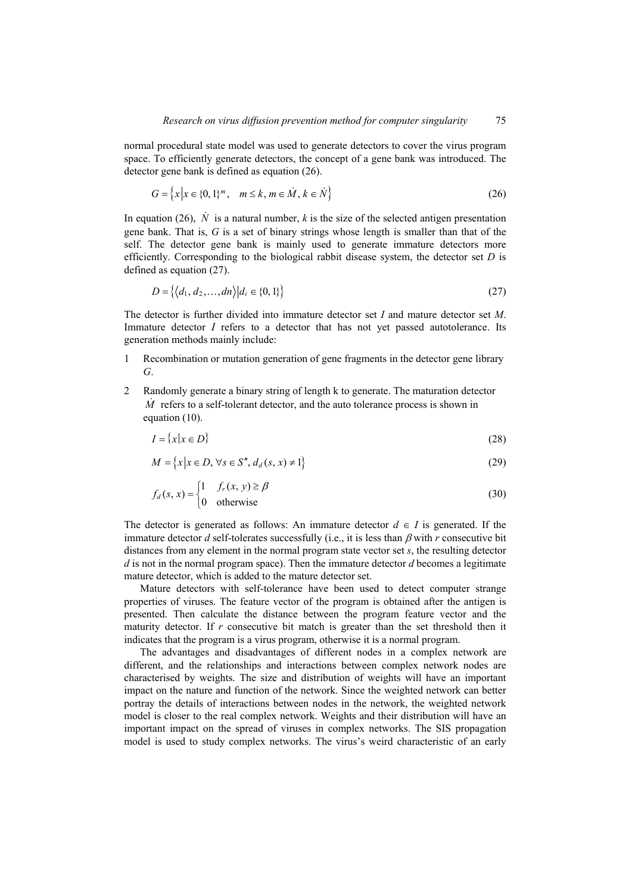normal procedural state model was used to generate detectors to cover the virus program space. To efficiently generate detectors, the concept of a gene bank was introduced. The detector gene bank is defined as equation (26).

$$
G = \{x | x \in \{0, 1\}^m, \quad m \le k, m \in \dot{M}, k \in \dot{N}\}
$$
 (26)

In equation (26),  $\dot{N}$  is a natural number, *k* is the size of the selected antigen presentation gene bank. That is, *G* is a set of binary strings whose length is smaller than that of the self. The detector gene bank is mainly used to generate immature detectors more efficiently. Corresponding to the biological rabbit disease system, the detector set *D* is defined as equation (27).

$$
D = \{ \langle d_1, d_2, \dots, d_n \rangle | d_i \in \{0, 1\} \} \tag{27}
$$

The detector is further divided into immature detector set *I* and mature detector set *M*. Immature detector *I* refers to a detector that has not yet passed autotolerance. Its generation methods mainly include:

- 1 Recombination or mutation generation of gene fragments in the detector gene library *G*.
- 2 Randomly generate a binary string of length k to generate. The maturation detector  $\dot{M}$  refers to a self-tolerant detector, and the auto tolerance process is shown in equation (10).

$$
I = \{x | x \in D\}
$$
\n<sup>(28)</sup>

$$
M = \{x \mid x \in D, \forall s \in S'', d_d(s, x) \neq 1\}
$$
\n
$$
(29)
$$

$$
f_d(s, x) = \begin{cases} 1 & f_r(x, y) \ge \beta \\ 0 & \text{otherwise} \end{cases}
$$
 (30)

The detector is generated as follows: An immature detector  $d \in I$  is generated. If the immature detector  $d$  self-tolerates successfully (i.e., it is less than  $\beta$  with  $r$  consecutive bit distances from any element in the normal program state vector set *s*, the resulting detector *d* is not in the normal program space). Then the immature detector *d* becomes a legitimate mature detector, which is added to the mature detector set.

Mature detectors with self-tolerance have been used to detect computer strange properties of viruses. The feature vector of the program is obtained after the antigen is presented. Then calculate the distance between the program feature vector and the maturity detector. If *r* consecutive bit match is greater than the set threshold then it indicates that the program is a virus program, otherwise it is a normal program.

The advantages and disadvantages of different nodes in a complex network are different, and the relationships and interactions between complex network nodes are characterised by weights. The size and distribution of weights will have an important impact on the nature and function of the network. Since the weighted network can better portray the details of interactions between nodes in the network, the weighted network model is closer to the real complex network. Weights and their distribution will have an important impact on the spread of viruses in complex networks. The SIS propagation model is used to study complex networks. The virus's weird characteristic of an early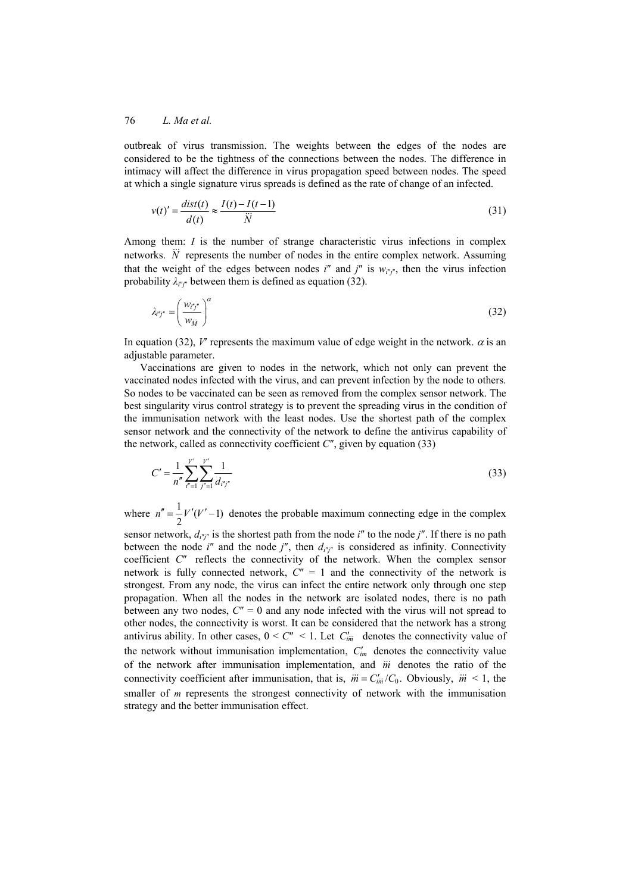outbreak of virus transmission. The weights between the edges of the nodes are considered to be the tightness of the connections between the nodes. The difference in intimacy will affect the difference in virus propagation speed between nodes. The speed at which a single signature virus spreads is defined as the rate of change of an infected.

$$
v(t)' = \frac{dist(t)}{d(t)} \approx \frac{I(t) - I(t-1)}{\ddot{N}}
$$
\n(31)

Among them: *I* is the number of strange characteristic virus infections in complex networks.  $\ddot{N}$  represents the number of nodes in the entire complex network. Assuming that the weight of the edges between nodes *i*<sup>"</sup> and *j*" is  $w_{i^{\prime\prime\prime}}$ , then the virus infection probability  $\lambda_{i''j''}$  between them is defined as equation (32).

$$
\lambda_{i^{\prime}j^{\prime}} = \left(\frac{w_{i^{\prime}j^{\prime}}}{w_{\tilde{M}}}\right)^{\alpha}
$$
\n(32)

In equation (32),  $V'$  represents the maximum value of edge weight in the network.  $\alpha$  is an adjustable parameter.

Vaccinations are given to nodes in the network, which not only can prevent the vaccinated nodes infected with the virus, and can prevent infection by the node to others. So nodes to be vaccinated can be seen as removed from the complex sensor network. The best singularity virus control strategy is to prevent the spreading virus in the condition of the immunisation network with the least nodes. Use the shortest path of the complex sensor network and the connectivity of the network to define the antivirus capability of the network, called as connectivity coefficient *C*″, given by equation (33)

$$
C' = \frac{1}{n''} \sum_{i'=1}^{V'} \sum_{j'=1}^{V'} \frac{1}{d_{i'j''}}
$$
(33)

where  $n'' = \frac{1}{2}V'(V'-1)$  denotes the probable maximum connecting edge in the complex

sensor network,  $d_{i^{\prime\prime}j^{\prime\prime}}$  is the shortest path from the node  $i^{\prime\prime}$  to the node  $j^{\prime\prime}$ . If there is no path between the node  $i''$  and the node  $j''$ , then  $d_{i''j''}$  is considered as infinity. Connectivity coefficient *C*″ reflects the connectivity of the network. When the complex sensor network is fully connected network,  $C'' = 1$  and the connectivity of the network is strongest. From any node, the virus can infect the entire network only through one step propagation. When all the nodes in the network are isolated nodes, there is no path between any two nodes, *C*″ = 0 and any node infected with the virus will not spread to other nodes, the connectivity is worst. It can be considered that the network has a strong antivirus ability. In other cases,  $0 \leq C'' \leq 1$ . Let  $C'_{\text{lin}}$  denotes the connectivity value of the network without immunisation implementation, *Cim* denotes the connectivity value of the network after immunisation implementation, and *m* denotes the ratio of the connectivity coefficient after immunisation, that is,  $\ddot{m} = C_{in}^r / C_0$ . Obviously,  $\ddot{m} \le 1$ , the smaller of *m* represents the strongest connectivity of network with the immunisation strategy and the better immunisation effect.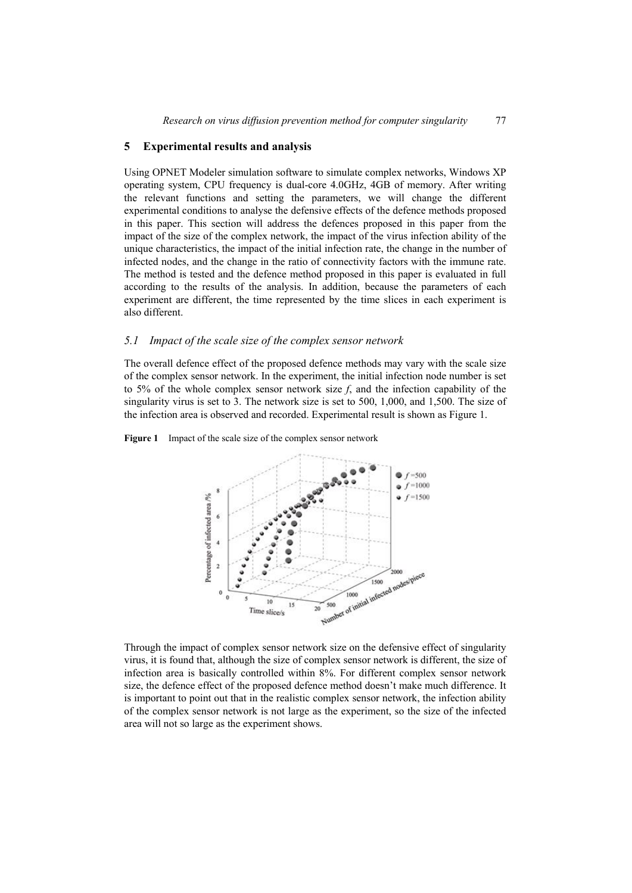### **5 Experimental results and analysis**

Using OPNET Modeler simulation software to simulate complex networks, Windows XP operating system, CPU frequency is dual-core 4.0GHz, 4GB of memory. After writing the relevant functions and setting the parameters, we will change the different experimental conditions to analyse the defensive effects of the defence methods proposed in this paper. This section will address the defences proposed in this paper from the impact of the size of the complex network, the impact of the virus infection ability of the unique characteristics, the impact of the initial infection rate, the change in the number of infected nodes, and the change in the ratio of connectivity factors with the immune rate. The method is tested and the defence method proposed in this paper is evaluated in full according to the results of the analysis. In addition, because the parameters of each experiment are different, the time represented by the time slices in each experiment is also different.

#### *5.1 Impact of the scale size of the complex sensor network*

The overall defence effect of the proposed defence methods may vary with the scale size of the complex sensor network. In the experiment, the initial infection node number is set to 5% of the whole complex sensor network size *f*, and the infection capability of the singularity virus is set to 3. The network size is set to 500, 1,000, and 1,500. The size of the infection area is observed and recorded. Experimental result is shown as Figure 1.



**Figure 1** Impact of the scale size of the complex sensor network

Through the impact of complex sensor network size on the defensive effect of singularity virus, it is found that, although the size of complex sensor network is different, the size of infection area is basically controlled within 8%. For different complex sensor network size, the defence effect of the proposed defence method doesn't make much difference. It is important to point out that in the realistic complex sensor network, the infection ability of the complex sensor network is not large as the experiment, so the size of the infected area will not so large as the experiment shows.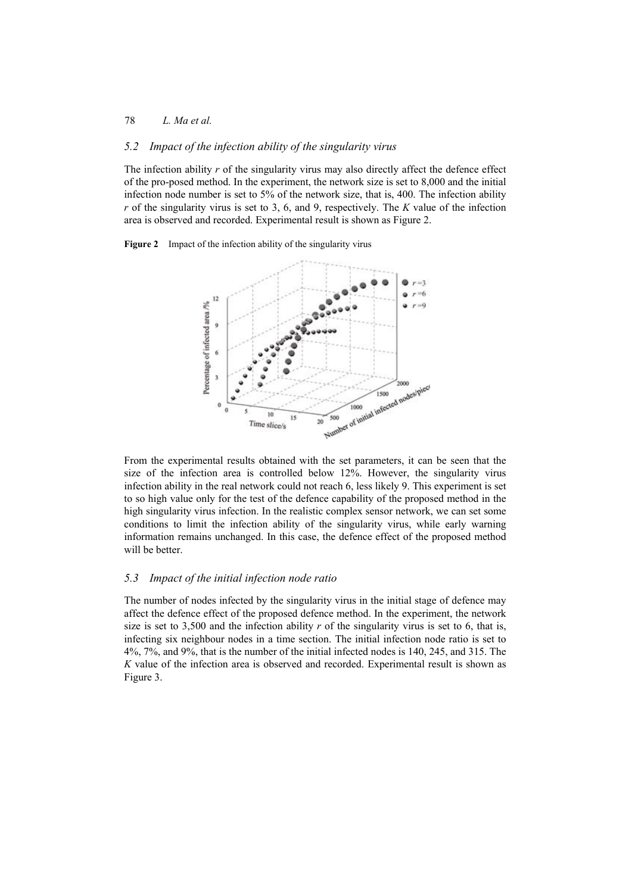# *5.2 Impact of the infection ability of the singularity virus*

The infection ability *r* of the singularity virus may also directly affect the defence effect of the pro-posed method. In the experiment, the network size is set to 8,000 and the initial infection node number is set to 5% of the network size, that is, 400. The infection ability *r* of the singularity virus is set to 3, 6, and 9, respectively. The *K* value of the infection area is observed and recorded. Experimental result is shown as Figure 2.

**Figure 2** Impact of the infection ability of the singularity virus



From the experimental results obtained with the set parameters, it can be seen that the size of the infection area is controlled below 12%. However, the singularity virus infection ability in the real network could not reach 6, less likely 9. This experiment is set to so high value only for the test of the defence capability of the proposed method in the high singularity virus infection. In the realistic complex sensor network, we can set some conditions to limit the infection ability of the singularity virus, while early warning information remains unchanged. In this case, the defence effect of the proposed method will be better.

# *5.3 Impact of the initial infection node ratio*

The number of nodes infected by the singularity virus in the initial stage of defence may affect the defence effect of the proposed defence method. In the experiment, the network size is set to 3,500 and the infection ability *r* of the singularity virus is set to 6, that is, infecting six neighbour nodes in a time section. The initial infection node ratio is set to 4%, 7%, and 9%, that is the number of the initial infected nodes is 140, 245, and 315. The *K* value of the infection area is observed and recorded. Experimental result is shown as Figure 3.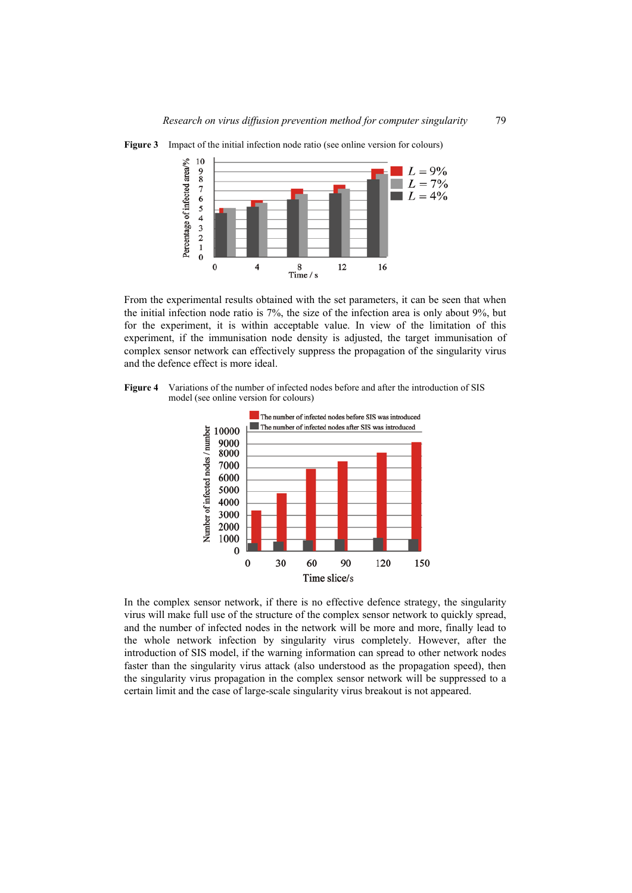

**Figure 3** Impact of the initial infection node ratio (see online version for colours)

From the experimental results obtained with the set parameters, it can be seen that when the initial infection node ratio is 7%, the size of the infection area is only about 9%, but for the experiment, it is within acceptable value. In view of the limitation of this experiment, if the immunisation node density is adjusted, the target immunisation of complex sensor network can effectively suppress the propagation of the singularity virus and the defence effect is more ideal.

**Figure 4** Variations of the number of infected nodes before and after the introduction of SIS model (see online version for colours)



In the complex sensor network, if there is no effective defence strategy, the singularity virus will make full use of the structure of the complex sensor network to quickly spread, and the number of infected nodes in the network will be more and more, finally lead to the whole network infection by singularity virus completely. However, after the introduction of SIS model, if the warning information can spread to other network nodes faster than the singularity virus attack (also understood as the propagation speed), then the singularity virus propagation in the complex sensor network will be suppressed to a certain limit and the case of large-scale singularity virus breakout is not appeared.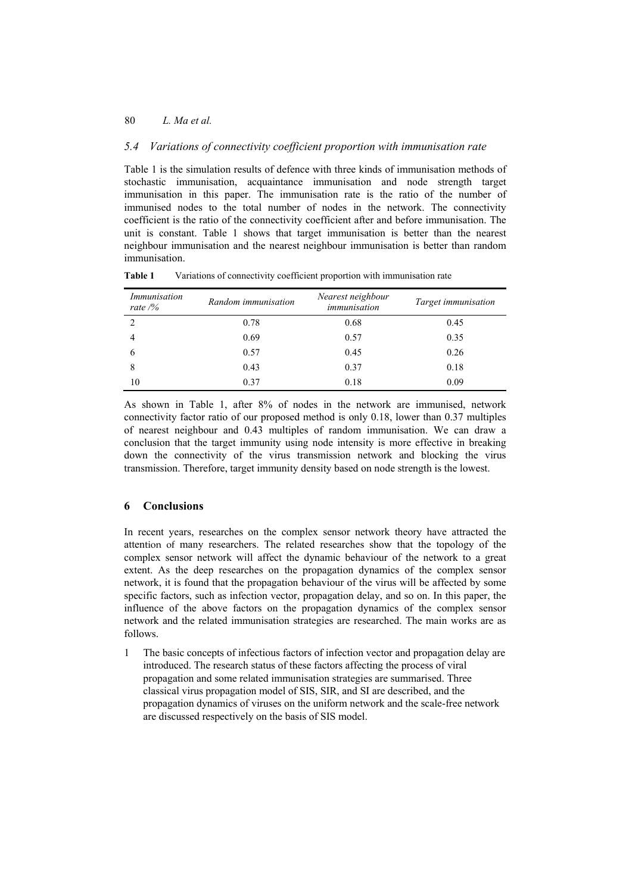# *5.4 Variations of connectivity coefficient proportion with immunisation rate*

Table 1 is the simulation results of defence with three kinds of immunisation methods of stochastic immunisation, acquaintance immunisation and node strength target immunisation in this paper. The immunisation rate is the ratio of the number of immunised nodes to the total number of nodes in the network. The connectivity coefficient is the ratio of the connectivity coefficient after and before immunisation. The unit is constant. Table 1 shows that target immunisation is better than the nearest neighbour immunisation and the nearest neighbour immunisation is better than random immunisation.

| Immunisation<br>rate $\frac{1}{6}$ | Random immunisation | Nearest neighbour<br>immunisation | Target immunisation |
|------------------------------------|---------------------|-----------------------------------|---------------------|
| $\mathcal{D}$                      | 0.78                | 0.68                              | 0.45                |
| 4                                  | 0.69                | 0.57                              | 0.35                |
| 6                                  | 0.57                | 0.45                              | 0.26                |
| 8                                  | 0.43                | 0.37                              | 0.18                |
| 10                                 | 0.37                | 0.18                              | 0.09                |

**Table 1** Variations of connectivity coefficient proportion with immunisation rate

As shown in Table 1, after 8% of nodes in the network are immunised, network connectivity factor ratio of our proposed method is only 0.18, lower than 0.37 multiples of nearest neighbour and 0.43 multiples of random immunisation. We can draw a conclusion that the target immunity using node intensity is more effective in breaking down the connectivity of the virus transmission network and blocking the virus transmission. Therefore, target immunity density based on node strength is the lowest.

# **6 Conclusions**

In recent years, researches on the complex sensor network theory have attracted the attention of many researchers. The related researches show that the topology of the complex sensor network will affect the dynamic behaviour of the network to a great extent. As the deep researches on the propagation dynamics of the complex sensor network, it is found that the propagation behaviour of the virus will be affected by some specific factors, such as infection vector, propagation delay, and so on. In this paper, the influence of the above factors on the propagation dynamics of the complex sensor network and the related immunisation strategies are researched. The main works are as follows.

1 The basic concepts of infectious factors of infection vector and propagation delay are introduced. The research status of these factors affecting the process of viral propagation and some related immunisation strategies are summarised. Three classical virus propagation model of SIS, SIR, and SI are described, and the propagation dynamics of viruses on the uniform network and the scale-free network are discussed respectively on the basis of SIS model.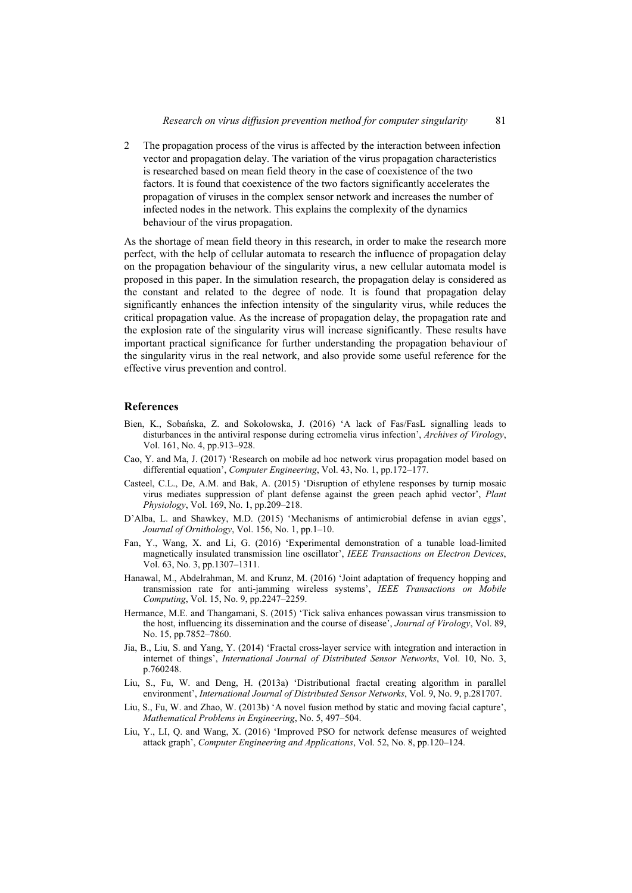2 The propagation process of the virus is affected by the interaction between infection vector and propagation delay. The variation of the virus propagation characteristics is researched based on mean field theory in the case of coexistence of the two factors. It is found that coexistence of the two factors significantly accelerates the propagation of viruses in the complex sensor network and increases the number of infected nodes in the network. This explains the complexity of the dynamics behaviour of the virus propagation.

As the shortage of mean field theory in this research, in order to make the research more perfect, with the help of cellular automata to research the influence of propagation delay on the propagation behaviour of the singularity virus, a new cellular automata model is proposed in this paper. In the simulation research, the propagation delay is considered as the constant and related to the degree of node. It is found that propagation delay significantly enhances the infection intensity of the singularity virus, while reduces the critical propagation value. As the increase of propagation delay, the propagation rate and the explosion rate of the singularity virus will increase significantly. These results have important practical significance for further understanding the propagation behaviour of the singularity virus in the real network, and also provide some useful reference for the effective virus prevention and control.

#### **References**

- Bien, K., Sobańska, Z. and Sokołowska, J. (2016) 'A lack of Fas/FasL signalling leads to disturbances in the antiviral response during ectromelia virus infection', *Archives of Virology*, Vol. 161, No. 4, pp.913–928.
- Cao, Y. and Ma, J. (2017) 'Research on mobile ad hoc network virus propagation model based on differential equation', *Computer Engineering*, Vol. 43, No. 1, pp.172–177.
- Casteel, C.L., De, A.M. and Bak, A. (2015) 'Disruption of ethylene responses by turnip mosaic virus mediates suppression of plant defense against the green peach aphid vector', *Plant Physiology*, Vol. 169, No. 1, pp.209–218.
- D'Alba, L. and Shawkey, M.D. (2015) 'Mechanisms of antimicrobial defense in avian eggs', *Journal of Ornithology*, Vol. 156, No. 1, pp.1–10.
- Fan, Y., Wang, X. and Li, G. (2016) 'Experimental demonstration of a tunable load-limited magnetically insulated transmission line oscillator', *IEEE Transactions on Electron Devices*, Vol. 63, No. 3, pp.1307–1311.
- Hanawal, M., Abdelrahman, M. and Krunz, M. (2016) 'Joint adaptation of frequency hopping and transmission rate for anti-jamming wireless systems', *IEEE Transactions on Mobile Computing*, Vol. 15, No. 9, pp.2247–2259.
- Hermance, M.E. and Thangamani, S. (2015) 'Tick saliva enhances powassan virus transmission to the host, influencing its dissemination and the course of disease', *Journal of Virology*, Vol. 89, No. 15, pp.7852–7860.
- Jia, B., Liu, S. and Yang, Y. (2014) 'Fractal cross-layer service with integration and interaction in internet of things', *International Journal of Distributed Sensor Networks*, Vol. 10, No. 3, p.760248.
- Liu, S., Fu, W. and Deng, H. (2013a) 'Distributional fractal creating algorithm in parallel environment', *International Journal of Distributed Sensor Networks*, Vol. 9, No. 9, p.281707.
- Liu, S., Fu, W. and Zhao, W. (2013b) 'A novel fusion method by static and moving facial capture', *Mathematical Problems in Engineering*, No. 5, 497–504.
- Liu, Y., LI, Q. and Wang, X. (2016) 'Improved PSO for network defense measures of weighted attack graph', *Computer Engineering and Applications*, Vol. 52, No. 8, pp.120–124.